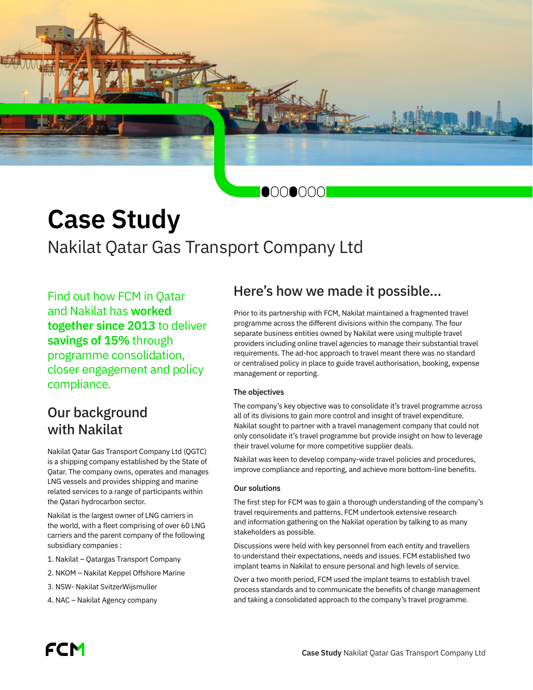

# **Case Study** Nakilat Qatar Gas Transport Company Ltd

Find out how FCM in Qatar and Nakilat has **worked together since 2013** to deliver **savings of 15%** through programme consolidation, closer engagement and policy compliance.

# Our background with Nakilat

Nakilat Qatar Gas Transport Company Ltd (QGTC) is a shipping company established by the State of Qatar. The company owns, operates and manages LNG vessels and provides shipping and marine related services to a range of participants within the Qatari hydrocarbon sector.

Nakilat is the largest owner of LNG carriers in the world, with a fleet comprising of over 60 LNG carriers and the parent company of the following subsidiary companies :

- 1. Nakilat Qatargas Transport Company
- 2. NKOM Nakilat Keppel Offshore Marine
- 3. NSW- Nakilat SvitzerWijsmuller
- 4. NAC Nakilat Agency company

## Here's how we made it possible…

Prior to its partnership with FCM, Nakilat maintained a fragmented travel programme across the different divisions within the company. The four separate business entities owned by Nakilat were using multiple travel providers including online travel agencies to manage their substantial travel requirements. The ad-hoc approach to travel meant there was no standard or centralised policy in place to guide travel authorisation, booking, expense management or reporting.

### The objectives

The company's key objective was to consolidate it's travel programme across all of its divisions to gain more control and insight of travel expenditure. Nakilat sought to partner with a travel management company that could not only consolidate it's travel programme but provide insight on how to leverage their travel volume for more competitive supplier deals.

Nakilat was keen to develop company-wide travel policies and procedures, improve compliance and reporting, and achieve more bottom-line benefits.

#### Our solutions

The first step for FCM was to gain a thorough understanding of the company's travel requirements and patterns. FCM undertook extensive research and information gathering on the Nakilat operation by talking to as many stakeholders as possible.

Discussions were held with key personnel from each entity and travellers to understand their expectations, needs and issues. FCM established two implant teams in Nakilat to ensure personal and high levels of service.

Over a two month period, FCM used the implant teams to establish travel process standards and to communicate the benefits of change management and taking a consolidated approach to the company's travel programme.